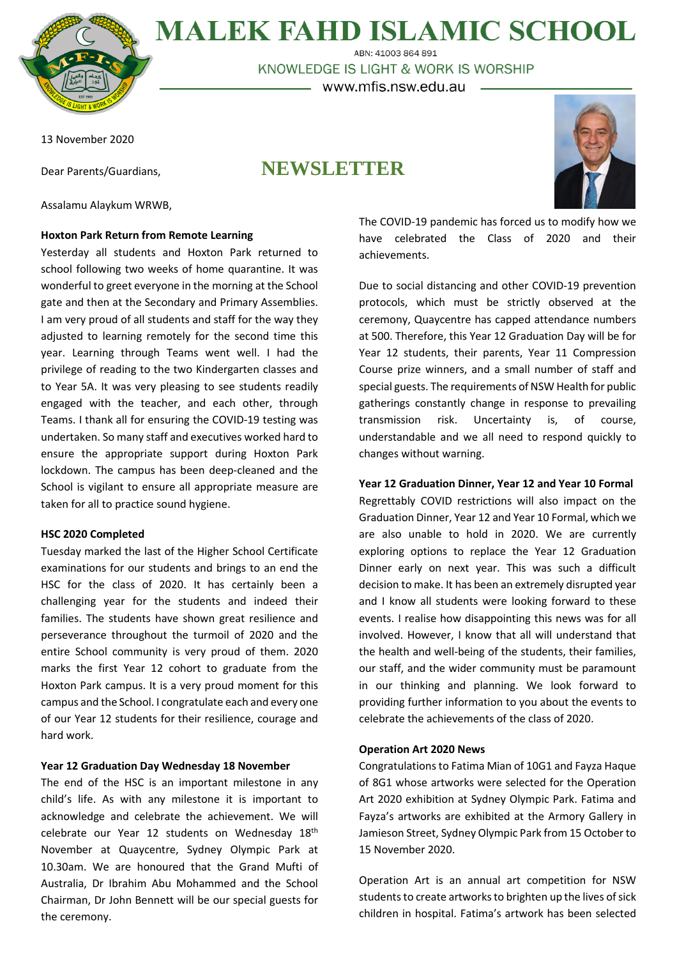

**MALEK FAHD ISLAMIC SCHOOL** ABN: 41003 864 891

KNOWLEDGE IS LIGHT & WORK IS WORSHIP

– www.mfis.nsw.edu.au –

**NEWSLETTER**

13 November 2020

Dear Parents/Guardians,

Assalamu Alaykum WRWB,

## **Hoxton Park Return from Remote Learning**

Yesterday all students and Hoxton Park returned to school following two weeks of home quarantine. It was wonderful to greet everyone in the morning at the School gate and then at the Secondary and Primary Assemblies. I am very proud of all students and staff for the way they adjusted to learning remotely for the second time this year. Learning through Teams went well. I had the privilege of reading to the two Kindergarten classes and to Year 5A. It was very pleasing to see students readily engaged with the teacher, and each other, through Teams. I thank all for ensuring the COVID-19 testing was undertaken. So many staff and executives worked hard to ensure the appropriate support during Hoxton Park lockdown. The campus has been deep-cleaned and the School is vigilant to ensure all appropriate measure are taken for all to practice sound hygiene.

#### **HSC 2020 Completed**

Tuesday marked the last of the Higher School Certificate examinations for our students and brings to an end the HSC for the class of 2020. It has certainly been a challenging year for the students and indeed their families. The students have shown great resilience and perseverance throughout the turmoil of 2020 and the entire School community is very proud of them. 2020 marks the first Year 12 cohort to graduate from the Hoxton Park campus. It is a very proud moment for this campus and the School. I congratulate each and every one of our Year 12 students for their resilience, courage and hard work.

## **Year 12 Graduation Day Wednesday 18 November**

The end of the HSC is an important milestone in any child's life. As with any milestone it is important to acknowledge and celebrate the achievement. We will celebrate our Year 12 students on Wednesday 18th November at Quaycentre, Sydney Olympic Park at 10.30am. We are honoured that the Grand Mufti of Australia, Dr Ibrahim Abu Mohammed and the School Chairman, Dr John Bennett will be our special guests for the ceremony.



The COVID-19 pandemic has forced us to modify how we have celebrated the Class of 2020 and their achievements.

Due to social distancing and other COVID-19 prevention protocols, which must be strictly observed at the ceremony, Quaycentre has capped attendance numbers at 500. Therefore, this Year 12 Graduation Day will be for Year 12 students, their parents, Year 11 Compression Course prize winners, and a small number of staff and special guests. The requirements of NSW Health for public gatherings constantly change in response to prevailing transmission risk. Uncertainty is, of course, understandable and we all need to respond quickly to changes without warning.

#### **Year 12 Graduation Dinner, Year 12 and Year 10 Formal**

Regrettably COVID restrictions will also impact on the Graduation Dinner, Year 12 and Year 10 Formal, which we are also unable to hold in 2020. We are currently exploring options to replace the Year 12 Graduation Dinner early on next year. This was such a difficult decision to make. It has been an extremely disrupted year and I know all students were looking forward to these events. I realise how disappointing this news was for all involved. However, I know that all will understand that the health and well-being of the students, their families, our staff, and the wider community must be paramount in our thinking and planning. We look forward to providing further information to you about the events to celebrate the achievements of the class of 2020.

#### **Operation Art 2020 News**

Congratulationsto Fatima Mian of 10G1 and Fayza Haque of 8G1 whose artworks were selected for the Operation Art 2020 exhibition at Sydney Olympic Park. Fatima and Fayza's artworks are exhibited at the Armory Gallery in Jamieson Street, Sydney Olympic Park from 15 October to 15 November 2020.

Operation Art is an annual art competition for NSW students to create artworks to brighten up the lives of sick children in hospital. Fatima's artwork has been selected